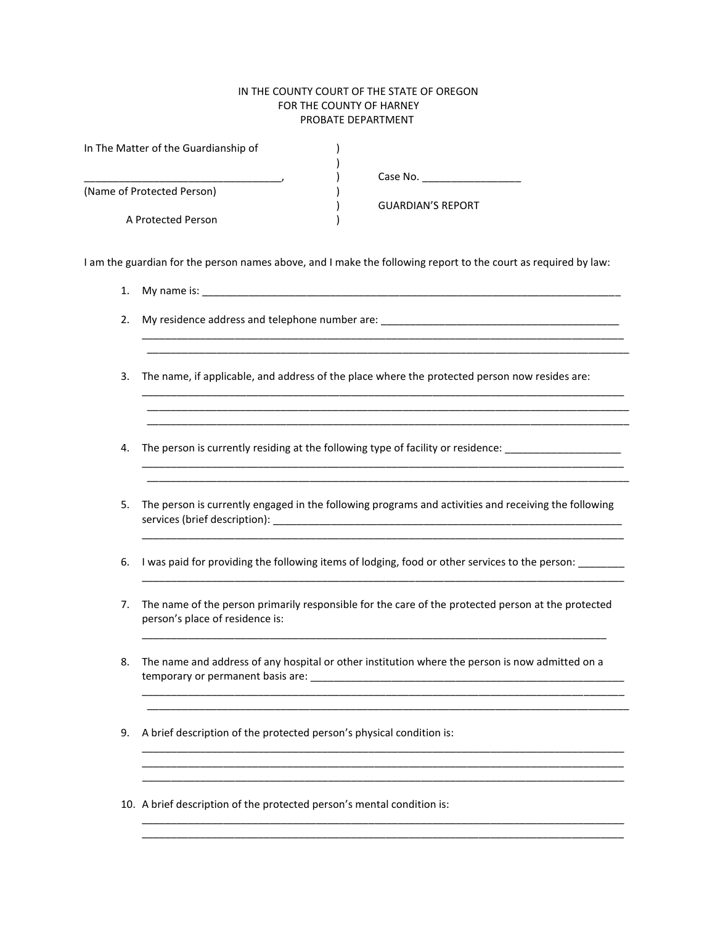## IN THE COUNTY COURT OF THE STATE OF OREGON FOR THE COUNTY OF HARNEY PROBATE DEPARTMENT

| In The Matter of the Guardianship of |                          |  |
|--------------------------------------|--------------------------|--|
|                                      |                          |  |
|                                      | Case No.                 |  |
| (Name of Protected Person)           |                          |  |
|                                      | <b>GUARDIAN'S REPORT</b> |  |
| A Protected Person                   |                          |  |

I am the guardian for the person names above, and I make the following report to the court as required by law:

1. My name is: \_\_\_\_\_\_\_\_\_\_\_\_\_\_\_\_\_\_\_\_\_\_\_\_\_\_\_\_\_\_\_\_\_\_\_\_\_\_\_\_\_\_\_\_\_\_\_\_\_\_\_\_\_\_\_\_\_\_\_\_\_\_\_\_\_\_\_\_\_\_\_\_

\_\_\_\_\_\_\_\_\_\_\_\_\_\_\_\_\_\_\_\_\_\_\_\_\_\_\_\_\_\_\_\_\_\_\_\_\_\_\_\_\_\_\_\_\_\_\_\_\_\_\_\_\_\_\_\_\_\_\_\_\_\_\_\_\_\_\_\_\_\_\_\_\_\_\_\_\_\_\_\_\_\_\_

- 2. My residence address and telephone number are: \_\_\_\_\_\_\_\_\_\_\_\_\_\_\_\_\_\_\_\_\_\_\_\_\_\_\_\_\_\_
- 3. The name, if applicable, and address of the place where the protected person now resides are:

\_\_\_\_\_\_\_\_\_\_\_\_\_\_\_\_\_\_\_\_\_\_\_\_\_\_\_\_\_\_\_\_\_\_\_\_\_\_\_\_\_\_\_\_\_\_\_\_\_\_\_\_\_\_\_\_\_\_\_\_\_\_\_\_\_\_\_\_\_\_\_\_\_\_\_\_\_\_\_\_\_\_\_  $\ldots$  . The contribution of the contribution of the contribution of the contribution of the contribution of the contribution of the contribution of the contribution of the contribution of the contribution of the contribut \_\_\_\_\_\_\_\_\_\_\_\_\_\_\_\_\_\_\_\_\_\_\_\_\_\_\_\_\_\_\_\_\_\_\_\_\_\_\_\_\_\_\_\_\_\_\_\_\_\_\_\_\_\_\_\_\_\_\_\_\_\_\_\_\_\_\_\_\_\_\_\_\_\_\_\_\_\_\_\_\_\_\_

\_\_\_\_\_\_\_\_\_\_\_\_\_\_\_\_\_\_\_\_\_\_\_\_\_\_\_\_\_\_\_\_\_\_\_\_\_\_\_\_\_\_\_\_\_\_\_\_\_\_\_\_\_\_\_\_\_\_\_\_\_\_\_\_\_\_\_\_\_\_\_\_\_\_\_\_\_\_\_\_\_\_\_ \_\_\_\_\_\_\_\_\_\_\_\_\_\_\_\_\_\_\_\_\_\_\_\_\_\_\_\_\_\_\_\_\_\_\_\_\_\_\_\_\_\_\_\_\_\_\_\_\_\_\_\_\_\_\_\_\_\_\_\_\_\_\_\_\_\_\_\_\_\_\_\_\_\_\_\_\_\_\_\_\_\_\_

 $\mathcal{L}_\mathcal{L} = \{ \mathcal{L}_\mathcal{L} = \{ \mathcal{L}_\mathcal{L} = \{ \mathcal{L}_\mathcal{L} = \{ \mathcal{L}_\mathcal{L} = \{ \mathcal{L}_\mathcal{L} = \{ \mathcal{L}_\mathcal{L} = \{ \mathcal{L}_\mathcal{L} = \{ \mathcal{L}_\mathcal{L} = \{ \mathcal{L}_\mathcal{L} = \{ \mathcal{L}_\mathcal{L} = \{ \mathcal{L}_\mathcal{L} = \{ \mathcal{L}_\mathcal{L} = \{ \mathcal{L}_\mathcal{L} = \{ \mathcal{L}_\mathcal{$ 

4. The person is currently residing at the following type of facility or residence: \_\_\_\_\_\_\_\_\_\_\_\_\_\_\_\_\_\_\_\_\_\_\_\_\_\_

\_\_\_\_\_\_\_\_\_\_\_\_\_\_\_\_\_\_\_\_\_\_\_\_\_\_\_\_\_\_\_\_\_\_\_\_\_\_\_\_\_\_\_\_\_\_\_\_\_\_\_\_\_\_\_\_\_\_\_\_\_\_\_\_\_\_\_\_\_\_\_\_\_\_\_\_\_\_\_\_\_\_\_

- 5. The person is currently engaged in the following programs and activities and receiving the following services (brief description): \_\_\_\_\_\_\_\_\_\_\_\_\_\_\_\_\_\_\_\_\_\_\_\_\_\_\_\_\_\_\_\_\_\_\_\_\_\_\_\_\_\_\_\_\_\_\_\_\_\_\_\_\_\_\_\_\_\_\_\_
- 6. I was paid for providing the following items of lodging, food or other services to the person:
- 7. The name of the person primarily responsible for the care of the protected person at the protected person's place of residence is:

\_\_\_\_\_\_\_\_\_\_\_\_\_\_\_\_\_\_\_\_\_\_\_\_\_\_\_\_\_\_\_\_\_\_\_\_\_\_\_\_\_\_\_\_\_\_\_\_\_\_\_\_\_\_\_\_\_\_\_\_\_\_\_\_\_\_\_\_\_\_\_\_\_\_\_\_\_\_\_\_

\_\_\_\_\_\_\_\_\_\_\_\_\_\_\_\_\_\_\_\_\_\_\_\_\_\_\_\_\_\_\_\_\_\_\_\_\_\_\_\_\_\_\_\_\_\_\_\_\_\_\_\_\_\_\_\_\_\_\_\_\_\_\_\_\_\_\_\_\_\_\_\_\_\_\_\_\_\_\_\_\_\_\_ \_\_\_\_\_\_\_\_\_\_\_\_\_\_\_\_\_\_\_\_\_\_\_\_\_\_\_\_\_\_\_\_\_\_\_\_\_\_\_\_\_\_\_\_\_\_\_\_\_\_\_\_\_\_\_\_\_\_\_\_\_\_\_\_\_\_\_\_\_\_\_\_\_\_\_\_\_\_\_\_\_\_\_

\_\_\_\_\_\_\_\_\_\_\_\_\_\_\_\_\_\_\_\_\_\_\_\_\_\_\_\_\_\_\_\_\_\_\_\_\_\_\_\_\_\_\_\_\_\_\_\_\_\_\_\_\_\_\_\_\_\_\_\_\_\_\_\_\_\_\_\_\_\_\_\_\_\_\_\_\_\_\_\_\_\_\_

\_\_\_\_\_\_\_\_\_\_\_\_\_\_\_\_\_\_\_\_\_\_\_\_\_\_\_\_\_\_\_\_\_\_\_\_\_\_\_\_\_\_\_\_\_\_\_\_\_\_\_\_\_\_\_\_\_\_\_\_\_\_\_\_\_\_\_\_\_\_\_\_\_\_\_\_\_\_\_\_\_\_\_ \_\_\_\_\_\_\_\_\_\_\_\_\_\_\_\_\_\_\_\_\_\_\_\_\_\_\_\_\_\_\_\_\_\_\_\_\_\_\_\_\_\_\_\_\_\_\_\_\_\_\_\_\_\_\_\_\_\_\_\_\_\_\_\_\_\_\_\_\_\_\_\_\_\_\_\_\_\_\_\_\_\_\_

8. The name and address of any hospital or other institution where the person is now admitted on a temporary or permanent basis are: \_\_\_\_\_\_\_\_\_\_\_\_\_\_\_\_\_\_\_\_\_\_\_\_\_\_\_\_\_\_\_\_\_\_\_\_\_\_\_\_\_\_\_\_\_\_\_\_\_\_\_\_\_\_

\_\_\_\_\_\_\_\_\_\_\_\_\_\_\_\_\_\_\_\_\_\_\_\_\_\_\_\_\_\_\_\_\_\_\_\_\_\_\_\_\_\_\_\_\_\_\_\_\_\_\_\_\_\_\_\_\_\_\_\_\_\_\_\_\_\_\_\_\_\_\_\_\_\_\_\_\_\_\_\_\_\_\_

- 9. A brief description of the protected person's physical condition is:
- 10. A brief description of the protected person's mental condition is: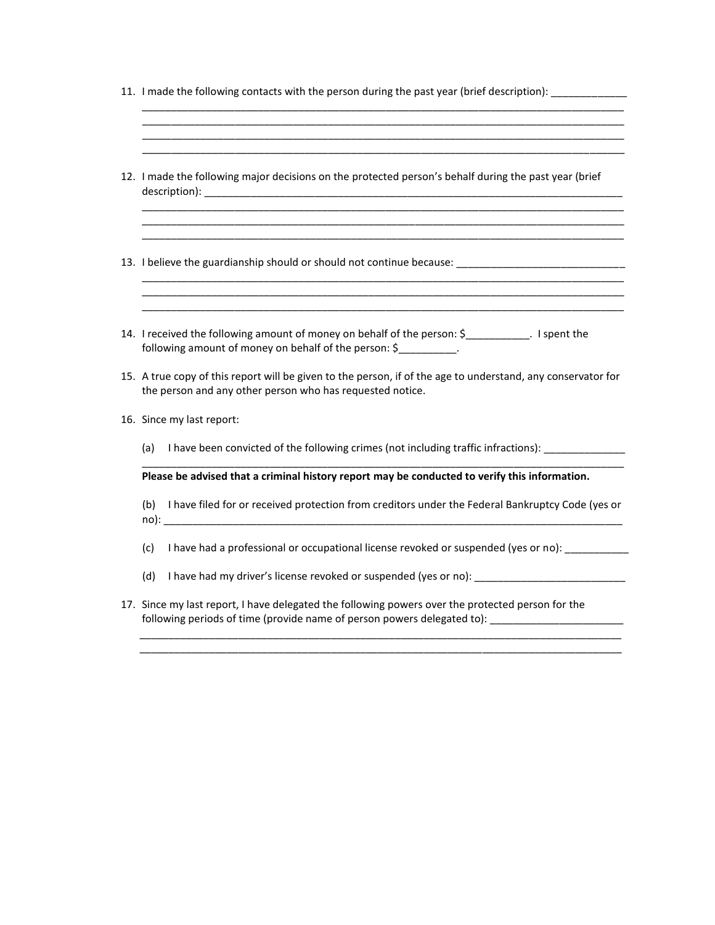|  |  |  |  | 11. I made the following contacts with the person during the past year (brief description): _____________ |
|--|--|--|--|-----------------------------------------------------------------------------------------------------------|
|--|--|--|--|-----------------------------------------------------------------------------------------------------------|

\_\_\_\_\_\_\_\_\_\_\_\_\_\_\_\_\_\_\_\_\_\_\_\_\_\_\_\_\_\_\_\_\_\_\_\_\_\_\_\_\_\_\_\_\_\_\_\_\_\_\_\_\_\_\_\_\_\_\_\_\_\_\_\_\_\_\_\_\_\_\_\_\_\_\_\_\_\_\_\_\_\_\_

\_\_\_\_\_\_\_\_\_\_\_\_\_\_\_\_\_\_\_\_\_\_\_\_\_\_\_\_\_\_\_\_\_\_\_\_\_\_\_\_\_\_\_\_\_\_\_\_\_\_\_\_\_\_\_\_\_\_\_\_\_\_\_\_\_\_\_\_\_\_\_\_\_\_\_\_\_\_\_\_\_\_\_

| 12. I made the following major decisions on the protected person's behalf during the past year (brief                                                                     |  |  |  |  |
|---------------------------------------------------------------------------------------------------------------------------------------------------------------------------|--|--|--|--|
| 13. I believe the guardianship should or should not continue because: ______________________________                                                                      |  |  |  |  |
| 14. I received the following amount of money on behalf of the person: \$__________. I spent the<br>following amount of money on behalf of the person: \$                  |  |  |  |  |
| 15. A true copy of this report will be given to the person, if of the age to understand, any conservator for<br>the person and any other person who has requested notice. |  |  |  |  |
| 16. Since my last report:                                                                                                                                                 |  |  |  |  |
| I have been convicted of the following crimes (not including traffic infractions):<br>(a)                                                                                 |  |  |  |  |
| Please be advised that a criminal history report may be conducted to verify this information.                                                                             |  |  |  |  |
| (b) I have filed for or received protection from creditors under the Federal Bankruptcy Code (yes or                                                                      |  |  |  |  |
| I have had a professional or occupational license revoked or suspended (yes or no):<br>(c)                                                                                |  |  |  |  |
| (d)                                                                                                                                                                       |  |  |  |  |
| 17. Since my last report, I have delegated the following powers over the protected person for the                                                                         |  |  |  |  |

following periods of time (provide name of person powers delegated to): \_\_\_\_\_\_\_\_\_\_\_\_\_\_\_\_\_\_\_\_\_\_\_\_\_\_\_

\_\_\_\_\_\_\_\_\_\_\_\_\_\_\_\_\_\_\_\_\_\_\_\_\_\_\_\_\_\_\_\_\_\_\_\_\_\_\_\_\_\_\_\_\_\_\_\_\_\_\_\_\_\_\_\_\_\_\_\_\_\_\_\_\_\_\_\_\_\_\_\_\_\_\_\_\_\_\_\_\_\_\_

\_\_\_\_\_\_\_\_\_\_\_\_\_\_\_\_\_\_\_\_\_\_\_\_\_\_\_\_\_\_\_\_\_\_\_\_\_\_\_\_\_\_\_\_\_\_\_\_\_\_\_\_\_\_\_\_\_\_\_\_\_\_\_\_\_\_\_\_\_\_\_\_\_\_\_\_\_\_\_\_\_\_\_